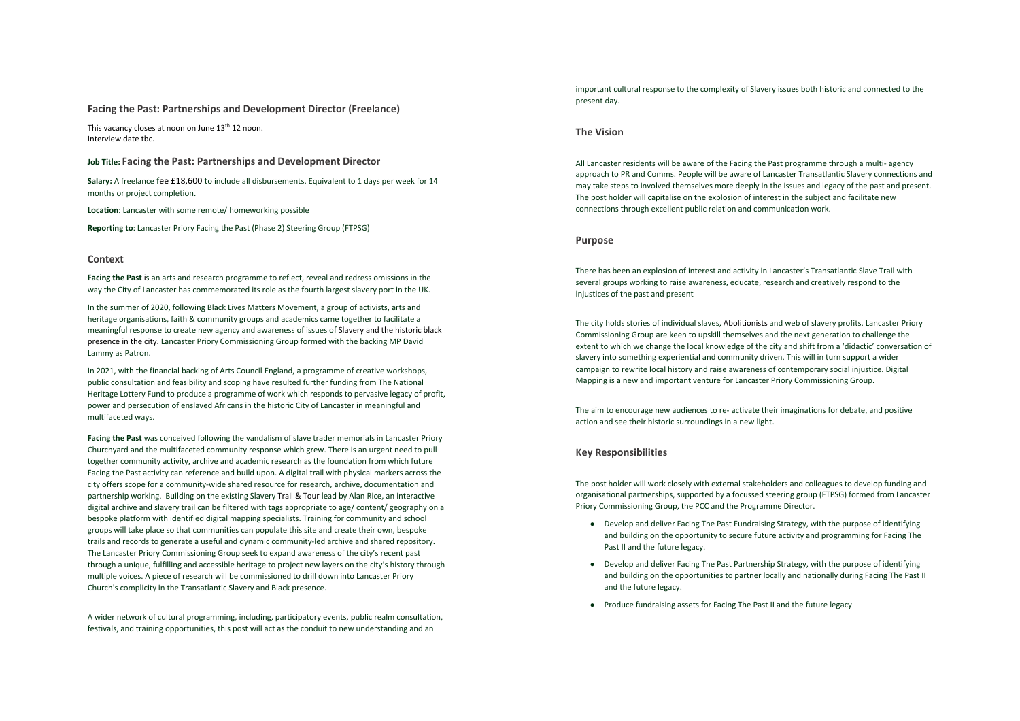#### **Facing the Past: Partnerships and Development Director (Freelance)**

This vacancy closes at noon on June 13<sup>th</sup> 12 noon. Interview date tbc.

## **Job Title: Facing the Past: Partnerships and Development Director**

Salary: A freelance fee £18,600 to include all disbursements. Equivalent to 1 days per week for 14 months or project completion.

**Location**: Lancaster with some remote/ homeworking possible

**Reporting to**: Lancaster Priory Facing the Past (Phase 2) Steering Group (FTPSG)

### **Context**

**Facing the Past** is an arts and research programme to reflect, reveal and redress omissions in the way the City of Lancaster has commemorated its role as the fourth largest slavery port in the UK.

In the summer of 2020, following Black Lives Matters Movement, a group of activists, arts and heritage organisations, faith & community groups and academics came together to facilitate a meaningful response to create new agency and awareness of issues of Slavery and the historic black presence in the city. Lancaster Priory Commissioning Group formed with the backing MP David Lammy as Patron.

In 2021, with the financial backing of Arts Council England, a programme of creative workshops, public consultation and feasibility and scoping have resulted further funding from The National Heritage Lottery Fund to produce a programme of work which responds to pervasive legacy of profit, power and persecution of enslaved Africans in the historic City of Lancaster in meaningful and multifaceted ways.

**Facing the Past** was conceived following the vandalism of slave trader memorials in Lancaster Priory Churchyard and the multifaceted community response which grew. There is an urgent need to pull together community activity, archive and academic research as the foundation from which future Facing the Past activity can reference and build upon. A digital trail with physical markers across the city offers scope for a community-wide shared resource for research, archive, documentation and partnership working. Building on the existing Slavery Trail & Tour lead by Alan Rice, an interactive digital archive and slavery trail can be filtered with tags appropriate to age/ content/ geography on a bespoke platform with identified digital mapping specialists. Training for community and school groups will take place so that communities can populate this site and create their own, bespoke trails and records to generate a useful and dynamic community-led archive and shared repository. The Lancaster Priory Commissioning Group seek to expand awareness of the city's recent past through a unique, fulfilling and accessible heritage to project new layers on the city's history through multiple voices. A piece of research will be commissioned to drill down into Lancaster Priory Church's complicity in the Transatlantic Slavery and Black presence.

A wider network of cultural programming, including, participatory events, public realm consultation, festivals, and training opportunities, this post will act as the conduit to new understanding and an

important cultural response to the complexity of Slavery issues both historic and connected to the present day.

## **The Vision**

All Lancaster residents will be aware of the Facing the Past programme through a multi- agency approach to PR and Comms. People will be aware of Lancaster Transatlantic Slavery connections and may take steps to involved themselves more deeply in the issues and legacy of the past and present. The post holder will capitalise on the explosion of interest in the subject and facilitate new connections through excellent public relation and communication work.

#### **Purpose**

There has been an explosion of interest and activity in Lancaster's Transatlantic Slave Trail with several groups working to raise awareness, educate, research and creatively respond to the injustices of the past and present

The city holds stories of individual slaves, Abolitionists and web of slavery profits. Lancaster Priory Commissioning Group are keen to upskill themselves and the next generation to challenge the extent to which we change the local knowledge of the city and shift from a 'didactic' conversation of slavery into something experiential and community driven. This will in turn support a wider campaign to rewrite local history and raise awareness of contemporary social injustice. Digital Mapping is a new and important venture for Lancaster Priory Commissioning Group.

The aim to encourage new audiences to re- activate their imaginations for debate, and positive action and see their historic surroundings in a new light.

## **Key Responsibilities**

The post holder will work closely with external stakeholders and colleagues to develop funding and organisational partnerships, supported by a focussed steering group (FTPSG) formed from Lancaster Priory Commissioning Group, the PCC and the Programme Director.

- Develop and deliver Facing The Past Fundraising Strategy, with the purpose of identifying and building on the opportunity to secure future activity and programming for Facing The Past II and the future legacy.
- Develop and deliver Facing The Past Partnership Strategy, with the purpose of identifying and building on the opportunities to partner locally and nationally during Facing The Past II and the future legacy.
- Produce fundraising assets for Facing The Past II and the future legacy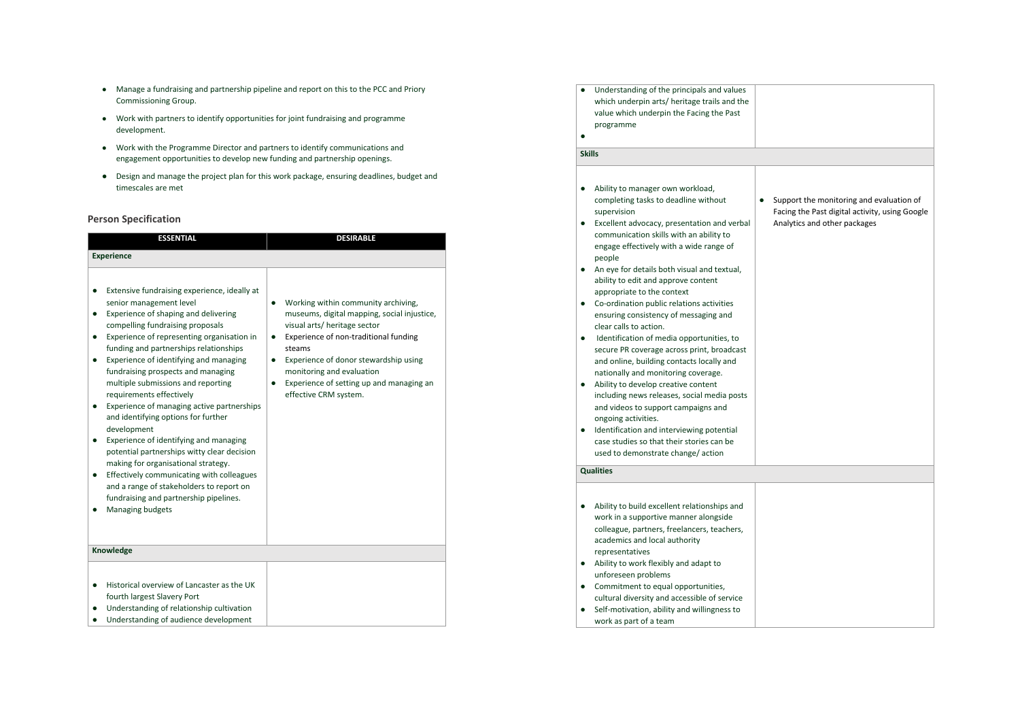- Manage a fundraising and partnership pipeline and report on this to the PCC and Priory Commissioning Group.
- Work with partners to identify opportunities for joint fundraising and programme development.
- Work with the Programme Director and partners to identify communications and engagement opportunities to develop new funding and partnership openings.
- Design and manage the project plan for this work package, ensuring deadlines, budget and timescales are met

# **Person Specification**

| <b>ESSENTIAL</b>                                                                                                                                                                                                                                                                                                                                                                                                                                                                                                                                                                                                                                                                                                                                                                                                                       | <b>DESIRABLE</b>                                                                                                                                                                                                                                                                                                                                             |  |  |  |
|----------------------------------------------------------------------------------------------------------------------------------------------------------------------------------------------------------------------------------------------------------------------------------------------------------------------------------------------------------------------------------------------------------------------------------------------------------------------------------------------------------------------------------------------------------------------------------------------------------------------------------------------------------------------------------------------------------------------------------------------------------------------------------------------------------------------------------------|--------------------------------------------------------------------------------------------------------------------------------------------------------------------------------------------------------------------------------------------------------------------------------------------------------------------------------------------------------------|--|--|--|
| <b>Experience</b>                                                                                                                                                                                                                                                                                                                                                                                                                                                                                                                                                                                                                                                                                                                                                                                                                      |                                                                                                                                                                                                                                                                                                                                                              |  |  |  |
| Extensive fundraising experience, ideally at<br>senior management level<br>Experience of shaping and delivering<br>$\bullet$<br>compelling fundraising proposals<br>Experience of representing organisation in<br>٠<br>funding and partnerships relationships<br>Experience of identifying and managing<br>$\bullet$<br>fundraising prospects and managing<br>multiple submissions and reporting<br>requirements effectively<br>Experience of managing active partnerships<br>٠<br>and identifying options for further<br>development<br>Experience of identifying and managing<br>٠<br>potential partnerships witty clear decision<br>making for organisational strategy.<br>Effectively communicating with colleagues<br>٠<br>and a range of stakeholders to report on<br>fundraising and partnership pipelines.<br>Managing budgets | Working within community archiving,<br>٠<br>museums, digital mapping, social injustice,<br>visual arts/ heritage sector<br>Experience of non-traditional funding<br>$\bullet$<br>steams<br>Experience of donor stewardship using<br>$\bullet$<br>monitoring and evaluation<br>Experience of setting up and managing an<br>$\bullet$<br>effective CRM system. |  |  |  |
| Knowledge                                                                                                                                                                                                                                                                                                                                                                                                                                                                                                                                                                                                                                                                                                                                                                                                                              |                                                                                                                                                                                                                                                                                                                                                              |  |  |  |
| Historical overview of Lancaster as the UK<br>٠<br>fourth largest Slavery Port<br>Understanding of relationship cultivation                                                                                                                                                                                                                                                                                                                                                                                                                                                                                                                                                                                                                                                                                                            |                                                                                                                                                                                                                                                                                                                                                              |  |  |  |

● Understanding of audience development

| ٠                                               | Understanding of the principals and values<br>which underpin arts/heritage trails and the<br>value which underpin the Facing the Past<br>programme                                                                                                                                                                                                                                                                                                                                                                                                                                                                                                                                                                                                                                                                                                                                                                                           |                                                                                                                            |
|-------------------------------------------------|----------------------------------------------------------------------------------------------------------------------------------------------------------------------------------------------------------------------------------------------------------------------------------------------------------------------------------------------------------------------------------------------------------------------------------------------------------------------------------------------------------------------------------------------------------------------------------------------------------------------------------------------------------------------------------------------------------------------------------------------------------------------------------------------------------------------------------------------------------------------------------------------------------------------------------------------|----------------------------------------------------------------------------------------------------------------------------|
| <b>Skills</b>                                   |                                                                                                                                                                                                                                                                                                                                                                                                                                                                                                                                                                                                                                                                                                                                                                                                                                                                                                                                              |                                                                                                                            |
| ٠<br>٠<br>$\bullet$<br>٠<br>$\bullet$<br>٠<br>٠ | Ability to manager own workload,<br>completing tasks to deadline without<br>supervision<br>Excellent advocacy, presentation and verbal<br>communication skills with an ability to<br>engage effectively with a wide range of<br>people<br>An eye for details both visual and textual,<br>ability to edit and approve content<br>appropriate to the context<br>Co-ordination public relations activities<br>ensuring consistency of messaging and<br>clear calls to action.<br>Identification of media opportunities, to<br>secure PR coverage across print, broadcast<br>and online, building contacts locally and<br>nationally and monitoring coverage.<br>Ability to develop creative content<br>including news releases, social media posts<br>and videos to support campaigns and<br>ongoing activities.<br>Identification and interviewing potential<br>case studies so that their stories can be<br>used to demonstrate change/action | Support the monitoring and evaluation of<br>Facing the Past digital activity, using Google<br>Analytics and other packages |
|                                                 | <b>Qualities</b>                                                                                                                                                                                                                                                                                                                                                                                                                                                                                                                                                                                                                                                                                                                                                                                                                                                                                                                             |                                                                                                                            |
| ٠<br>٠                                          | Ability to build excellent relationships and<br>work in a supportive manner alongside<br>colleague, partners, freelancers, teachers,<br>academics and local authority<br>representatives<br>Ability to work flexibly and adapt to<br>unforeseen problems<br>Commitment to equal opportunities,<br>cultural diversity and accessible of service<br>Self-motivation, ability and willingness to<br>work as part of a team                                                                                                                                                                                                                                                                                                                                                                                                                                                                                                                      |                                                                                                                            |